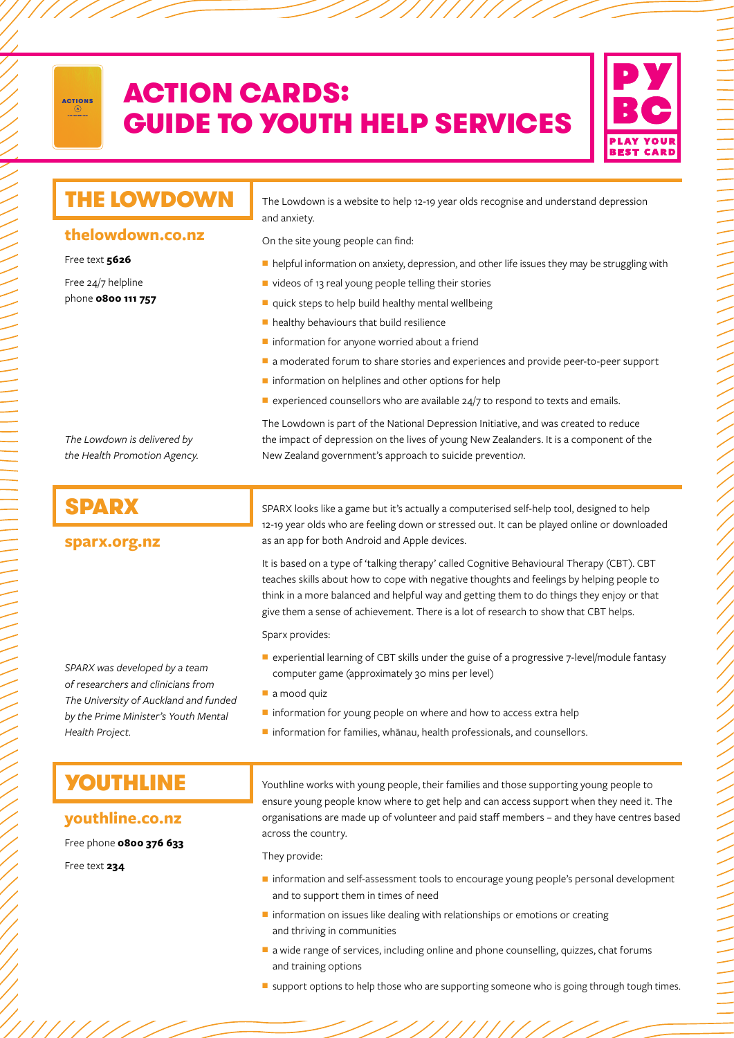

# ACTION CARDS: GUIDE TO YOUTH HELP SERVICES



## **thelowdown.co.nz**

### Free text **5626**

Free 24/7 helpline phone **0800 111 757**

THE LOWDOWN The Lowdown is a website to help 12-19 year olds recognise and understand depression and anxiety.

On the site young people can find:

- $\blacksquare$  helpful information on anxiety, depression, and other life issues they may be struggling with
- ullet videos of 13 real young people telling their stories
- $\blacksquare$  quick steps to help build healthy mental wellbeing
- $\blacksquare$  healthy behaviours that build resilience
- $\blacksquare$  information for anyone worried about a friend
- a moderated forum to share stories and experiences and provide peer-to-peer support
- $\blacksquare$  information on helplines and other options for help

New Zealand government's approach to suicide preventio*n.* 

 $\blacksquare$  experienced counsellors who are available 24/7 to respond to texts and emails.

The Lowdown is part of the National Depression Initiative, and was created to reduce the impact of depression on the lives of young New Zealanders. It is a component of the

*The Lowdown is delivered by the Health Promotion Agency.*

### **sparx.org.nz**

SPARX SPARX Iooks like a game but it's actually a computerised self-help tool, designed to help 12-19 year olds who are feeling down or stressed out. It can be played online or downloaded as an app for both Android and Apple devices.

> It is based on a type of 'talking therapy' called Cognitive Behavioural Therapy (CBT). CBT teaches skills about how to cope with negative thoughts and feelings by helping people to think in a more balanced and helpful way and getting them to do things they enjoy or that give them a sense of achievement. There is a lot of research to show that CBT helps.

Sparx provides:

- experiential learning of CBT skills under the guise of a progressive 7-level/module fantasy computer game (approximately 30 mins per level)
- a mood quiz
- $\blacksquare$  information for young people on where and how to access extra help
- information for families, whānau, health professionals, and counsellors.

*SPARX was developed by a team of researchers and clinicians from The University of Auckland and funded by the Prime Minister's Youth Mental* 

### **youthline.co.nz**

Free phone **0800 376 633**

Free text **234**

*Health Project.*

YOUTHLINE Youthline works with young people, their families and those supporting young people to ensure young people know where to get help and can access support when they need it. The organisations are made up of volunteer and paid staff members – and they have centres based across the country.

They provide:

- information and self-assessment tools to encourage young people's personal development and to support them in times of need
- $\blacksquare$  information on issues like dealing with relationships or emotions or creating and thriving in communities
- a wide range of services, including online and phone counselling, quizzes, chat forums and training options
- support options to help those who are supporting someone who is going through tough times.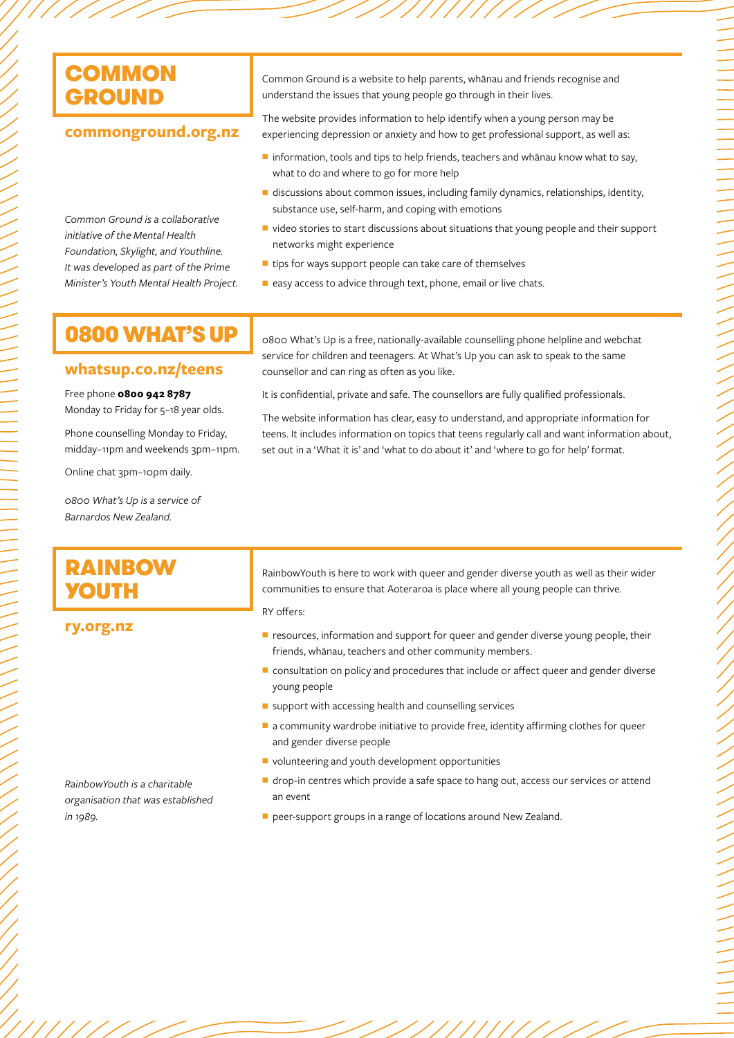## **commonground.org.nz**

*Common Ground is a collaborative initiative of the Mental Health Foundation, Skylight, and Youthline. It was developed as part of the Prime Minister's Youth Mental Health Project.* Common Ground is a website to help parents, whānau and friends recognise and understand the issues that young people go through in their lives.

The website provides information to help identify when a young person may be experiencing depression or anxiety and how to get professional support, as well as:

- $\blacksquare$  information, tools and tips to help friends, teachers and whānau know what to say, what to do and where to go for more help
- $\blacksquare$  discussions about common issues, including family dynamics, relationships, identity, substance use, self-harm, and coping with emotions
- $\blacksquare$  video stories to start discussions about situations that young people and their support networks might experience
- $\blacksquare$  tips for ways support people can take care of themselves
- easy access to advice through text, phone, email or live chats.

### **whatsup.co.nz/teens**

### Free phone **0800 942 8787**

Monday to Friday for 5–18 year olds.

Phone counselling Monday to Friday, midday–11pm and weekends 3pm–11pm.

Online chat 3pm–10pm daily.

*0800 What's Up is a service of Barnardos New Zealand.* 

**0800 WHAT'S UP**  $\int_{0.800}$  What's Up is a free, nationally-available counselling phone helpline and webchat service for children and teenagers. At What's Up you can ask to speak to the same counsellor and can ring as often as you like.

It is confidential, private and safe. The counsellors are fully qualified professionals.

The website information has clear, easy to understand, and appropriate information for teens. It includes information on topics that teens regularly call and want information about, set out in a 'What it is' and 'what to do about it' and 'where to go for help' format.

# RAINBOW YOUTH

RainbowYouth is here to work with queer and gender diverse youth as well as their wider communities to ensure that Aoteraroa is place where all young people can thrive.

RY offers:

**ry.org.nz**

 $\blacksquare$  resources, information and support for queer and gender diverse young people, their friends, whānau, teachers and other community members.

- consultation on policy and procedures that include or affect queer and gender diverse young people
- $\blacksquare$  support with accessing health and counselling services
- $\blacksquare$  a community wardrobe initiative to provide free, identity affirming clothes for queer and gender diverse people
- volunteering and youth development opportunities
- drop-in centres which provide a safe space to hang out, access our services or attend an event
- peer-support groups in a range of locations around New Zealand.

*RainbowYouth is a charitable organisation that was established in 1989.*